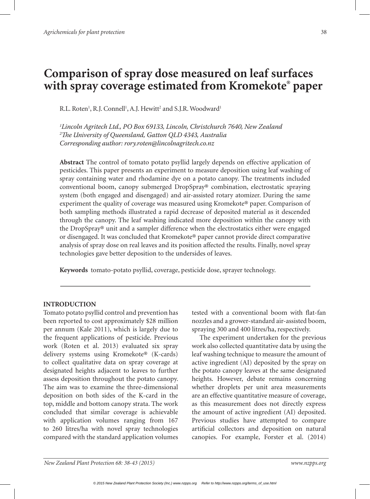# **Comparison of spray dose measured on leaf surfaces with spray coverage estimated from Kromekote® paper**

R.L. Roten<sup>1</sup>, R.J. Connell<sup>1</sup>, A.J. Hewitt<sup>2</sup> and S.J.R. Woodward<sup>1</sup>

*1 Lincoln Agritech Ltd., PO Box 69133, Lincoln, Christchurch 7640, New Zealand 2 The University of Queensland, Gatton QLD 4343, Australia Corresponding author: rory.roten@lincolnagritech.co.nz*

**Abstract** The control of tomato potato psyllid largely depends on effective application of pesticides. This paper presents an experiment to measure deposition using leaf washing of spray containing water and rhodamine dye on a potato canopy. The treatments included conventional boom, canopy submerged DropSpray® combination, electrostatic spraying system (both engaged and disengaged) and air-assisted rotary atomizer. During the same experiment the quality of coverage was measured using Kromekote® paper. Comparison of both sampling methods illustrated a rapid decrease of deposited material as it descended through the canopy. The leaf washing indicated more deposition within the canopy with the DropSpray® unit and a sampler difference when the electrostatics either were engaged or disengaged. It was concluded that Kromekote® paper cannot provide direct comparative analysis of spray dose on real leaves and its position affected the results. Finally, novel spray technologies gave better deposition to the undersides of leaves.

**Keywords** tomato-potato psyllid, coverage, pesticide dose, sprayer technology.

### **INTRODUCTION**

Tomato potato psyllid control and prevention has been reported to cost approximately \$28 million per annum (Kale 2011), which is largely due to the frequent applications of pesticide. Previous work (Roten et al. 2013) evaluated six spray delivery systems using Kromekote® (K-cards) to collect qualitative data on spray coverage at designated heights adjacent to leaves to further assess deposition throughout the potato canopy. The aim was to examine the three-dimensional deposition on both sides of the K-card in the top, middle and bottom canopy strata. The work concluded that similar coverage is achievable with application volumes ranging from 167 to 260 litres/ha with novel spray technologies compared with the standard application volumes

tested with a conventional boom with flat-fan nozzles and a grower-standard air-assisted boom, spraying 300 and 400 litres/ha, respectively.

The experiment undertaken for the previous work also collected quantitative data by using the leaf washing technique to measure the amount of active ingredient (AI) deposited by the spray on the potato canopy leaves at the same designated heights. However, debate remains concerning whether droplets per unit area measurements are an effective quantitative measure of coverage, as this measurement does not directly express the amount of active ingredient (AI) deposited. Previous studies have attempted to compare artificial collectors and deposition on natural canopies. For example, Forster et al. (2014)

*New Zealand Plant Protection 68: 38-43 (2015) www.nzpps.org*

*© 2015 New Zealand Plant Protection Society (Inc.) www.nzpps.org Refer to http://www.nzpps.org/terms\_of\_use.html*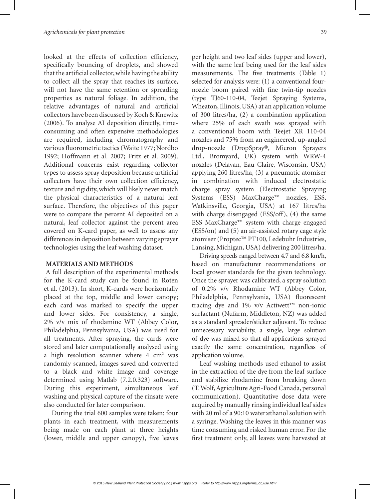looked at the effects of collection efficiency, specifically bouncing of droplets, and showed that the artificial collector, while having the ability to collect all the spray that reaches its surface, will not have the same retention or spreading properties as natural foliage. In addition, the relative advantages of natural and artificial collectors have been discussed by Koch & Knewitz (2006). To analyse AI deposition directly, timeconsuming and often expensive methodologies are required, including chromatography and various fluorometric tactics (Waite 1977; Nordbo 1992; Hoffmann et al. 2007; Fritz et al. 2009). Additional concerns exist regarding collector types to assess spray deposition because artificial collectors have their own collection efficiency, texture and rigidity, which will likely never match the physical characteristics of a natural leaf surface. Therefore, the objectives of this paper were to compare the percent AI deposited on a natural, leaf collector against the percent area covered on K-card paper, as well to assess any differences in deposition between varying sprayer technologies using the leaf washing dataset.

# **MATERIALS AND METHODS**

A full description of the experimental methods for the K-card study can be found in Roten et al. (2013). In short, K-cards were horizontally placed at the top, middle and lower canopy; each card was marked to specify the upper and lower sides. For consistency, a single, 2% v/v mix of rhodamine WT (Abbey Color, Philadelphia, Pennsylvania, USA) was used for all treatments. After spraying, the cards were stored and later computationally analysed using a high resolution scanner where  $4 \text{ cm}^2$  was randomly scanned, images saved and converted to a black and white image and coverage determined using Matlab (7.2.0.323) software. During this experiment, simultaneous leaf washing and physical capture of the rinsate were also conducted for later comparison.

During the trial 600 samples were taken: four plants in each treatment, with measurements being made on each plant at three heights (lower, middle and upper canopy), five leaves per height and two leaf sides (upper and lower), with the same leaf being used for the leaf sides measurements. The five treatments (Table 1) selected for analysis were: (1) a conventional fournozzle boom paired with fine twin-tip nozzles (type TJ60-110-04, Teejet Spraying Systems, Wheaton, Illinois, USA) at an application volume of 300 litres/ha, (2) a combination application where 25% of each swath was sprayed with a conventional boom with Teejet XR 110-04 nozzles and 75% from an engineered, up-angled drop-nozzle (DropSpray®, Micron Sprayers Ltd., Bromyard, UK) system with WRW-4 nozzles (Delavan, Eau Claire, Wisconsin, USA) applying 260 litres/ha, (3) a pneumatic atomiser in combination with induced electrostatic charge spray system (Electrostatic Spraying Systems (ESS) MaxCharge™ nozzles, ESS, Watkinsville, Georgia, USA) at 167 litres/ha with charge disengaged (ESS/off), (4) the same ESS MaxCharge™ system with charge engaged (ESS/on) and (5) an air-assisted rotary cage style atomiser (Proptec™ PT100, Ledebuhr Industries, Lansing, Michigan, USA) delivering 200 litres/ha.

Driving speeds ranged between 4.7 and 6.8 km/h, based on manufacturer recommendations or local grower standards for the given technology. Once the sprayer was calibrated, a spray solution of 0.2% v/v Rhodamine WT (Abbey Color, Philadelphia, Pennsylvania, USA) fluorescent tracing dye and 1% v/v Actiwett™ non-ionic surfactant (Nufarm, Middleton, NZ) was added as a standard spreader/sticker adjuvant. To reduce unnecessary variability, a single, large solution of dye was mixed so that all applications sprayed exactly the same concentration, regardless of application volume.

Leaf washing methods used ethanol to assist in the extraction of the dye from the leaf surface and stabilize rhodamine from breaking down (T. Wolf, Agriculture Agri-Food Canada, personal communication). Quantitative dose data were acquired by manually rinsing individual leaf sides with 20 ml of a 90:10 water:ethanol solution with a syringe. Washing the leaves in this manner was time consuming and risked human error. For the first treatment only, all leaves were harvested at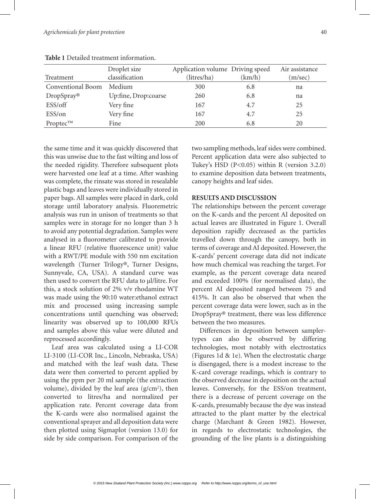|                          | Droplet size         | Application volume Driving speed |        | Air assistance |
|--------------------------|----------------------|----------------------------------|--------|----------------|
| Treatment                | classification       | (litres/ha)                      | (km/h) | (m/sec)        |
| <b>Conventional Boom</b> | Medium               | 300                              | 6.8    | na             |
| DropSpray®               | Up:fine, Drop:coarse | 260                              | 6.8    | na             |
| ESS/off                  | Very fine            | 167                              | 4.7    | 25             |
| ESS/on                   | Very fine            | 167                              | 4.7    | 25             |
| $Proptec^{TM}$           | Fine                 | 200                              | 6.8    | 20             |

**Table 1** Detailed treatment information.

the same time and it was quickly discovered that this was unwise due to the fast wilting and loss of the needed rigidity. Therefore subsequent plots were harvested one leaf at a time. After washing was complete, the rinsate was stored in resealable plastic bags and leaves were individually stored in paper bags. All samples were placed in dark, cold storage until laboratory analysis. Fluoremetric analysis was run in unison of treatments so that samples were in storage for no longer than 3 h to avoid any potential degradation. Samples were analysed in a fluorometer calibrated to provide a linear RFU (relative fluorescence unit) value with a RWT/PE module with 550 nm excitation wavelength (Turner Trilogy®, Turner Designs, Sunnyvale, CA, USA). A standard curve was then used to convert the RFU data to ul/litre. For this, a stock solution of 2% v/v rhodamine WT was made using the 90:10 water:ethanol extract mix and processed using increasing sample concentrations until quenching was observed; linearity was observed up to 100,000 RFUs and samples above this value were diluted and reprocessed accordingly.

Leaf area was calculated using a LI-COR LI-3100 (LI-COR Inc., Lincoln, Nebraska, USA) and matched with the leaf wash data. These data were then converted to percent applied by using the ppm per 20 ml sample (the extraction volume), divided by the leaf area  $(g/cm<sup>2</sup>)$ , then converted to litres/ha and normalized per application rate. Percent coverage data from the K-cards were also normalised against the conventional sprayer and all deposition data were then plotted using Sigmaplot (version 13.0) for side by side comparison. For comparison of the

two sampling methods, leaf sides were combined. Percent application data were also subjected to Tukey's HSD  $(P<0.05)$  within R (version 3.2.0) to examine deposition data between treatments, canopy heights and leaf sides.

## **RESULTS AND DISCUSSION**

The relationships between the percent coverage on the K-cards and the percent AI deposited on actual leaves are illustrated in Figure 1. Overall deposition rapidly decreased as the particles travelled down through the canopy, both in terms of coverage and AI deposited. However, the K-cards' percent coverage data did not indicate how much chemical was reaching the target. For example, as the percent coverage data neared and exceeded 100% (for normalised data), the percent AI deposited ranged between 75 and 415%. It can also be observed that when the percent coverage data were lower, such as in the DropSpray® treatment, there was less difference between the two measures.

Differences in deposition between samplertypes can also be observed by differing technologies, most notably with electrostatics (Figures 1d & 1e). When the electrostatic charge is disengaged, there is a modest increase to the K-card coverage readings, which is contrary to the observed decrease in deposition on the actual leaves. Conversely, for the ESS/on treatment, there is a decrease of percent coverage on the K-cards, presumably because the dye was instead attracted to the plant matter by the electrical charge (Marchant & Green 1982). However, in regards to electrostatic technologies, the grounding of the live plants is a distinguishing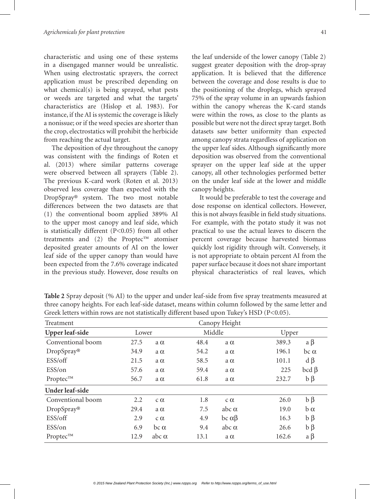characteristic and using one of these systems in a disengaged manner would be unrealistic. When using electrostatic sprayers, the correct application must be prescribed depending on what chemical(s) is being sprayed, what pests or weeds are targeted and what the targets' characteristics are (Hislop et al. 1983). For instance, if the AI is systemic the coverage is likely a nonissue; or if the weed species are shorter than the crop, electrostatics will prohibit the herbicide from reaching the actual target.

The deposition of dye throughout the canopy was consistent with the findings of Roten et al. (2013) where similar patterns coverage were observed between all sprayers (Table 2). The previous K-card work (Roten et al. 2013) observed less coverage than expected with the DropSpray® system. The two most notable differences between the two datasets are that (1) the conventional boom applied 389% AI to the upper most canopy and leaf side, which is statistically different (P<0.05) from all other treatments and (2) the Proptec™ atomiser deposited greater amounts of AI on the lower leaf side of the upper canopy than would have been expected from the 7.6% coverage indicated in the previous study. However, dose results on

the leaf underside of the lower canopy (Table 2) suggest greater deposition with the drop-spray application. It is believed that the difference between the coverage and dose results is due to the positioning of the droplegs, which sprayed 75% of the spray volume in an upwards fashion within the canopy whereas the K-card stands were within the rows, as close to the plants as possible but were not the direct spray target. Both datasets saw better uniformity than expected among canopy strata regardless of application on the upper leaf sides. Although significantly more deposition was observed from the conventional sprayer on the upper leaf side at the upper canopy, all other technologies performed better on the under leaf side at the lower and middle canopy heights.

It would be preferable to test the coverage and dose response on identical collectors. However, this is not always feasible in field study situations. For example, with the potato study it was not practical to use the actual leaves to discern the percent coverage because harvested biomass quickly lost rigidity through wilt. Conversely, it is not appropriate to obtain percent AI from the paper surface because it does not share important physical characteristics of real leaves, which

| $\alpha$ . The contract of the contract of $\alpha$ is the contract of $\alpha$ and $\alpha$ and $\alpha$ is the set of $\alpha$ |               |              |        |                   |       |                     |  |  |  |  |
|----------------------------------------------------------------------------------------------------------------------------------|---------------|--------------|--------|-------------------|-------|---------------------|--|--|--|--|
| Treatment                                                                                                                        | Canopy Height |              |        |                   |       |                     |  |  |  |  |
| <b>Upper leaf-side</b>                                                                                                           | Lower         |              | Middle |                   | Upper |                     |  |  |  |  |
| Conventional boom                                                                                                                | 27.5          | $a \alpha$   | 48.4   | $a \alpha$        | 389.3 | $a\beta$            |  |  |  |  |
| DropSpray®                                                                                                                       | 34.9          | $a \alpha$   | 54.2   | $a \alpha$        | 196.1 | $bc \alpha$         |  |  |  |  |
| ESS/off                                                                                                                          | 21.5          | $a \alpha$   | 58.5   | $a \alpha$        | 101.1 | $d\beta$            |  |  |  |  |
| ESS/on                                                                                                                           | 57.6          | $a \alpha$   | 59.4   | $a \alpha$        | 225   | $\text{bcd } \beta$ |  |  |  |  |
| Proptec™                                                                                                                         | 56.7          | $a \alpha$   | 61.8   | $a \alpha$        | 232.7 | $b\beta$            |  |  |  |  |
| Under leaf-side                                                                                                                  |               |              |        |                   |       |                     |  |  |  |  |
| Conventional boom                                                                                                                | 2.2           | $c \alpha$   | 1.8    | $c \alpha$        | 26.0  | $b\beta$            |  |  |  |  |
| DropSpray®                                                                                                                       | 29.4          | $a \alpha$   | 7.5    | abc $\alpha$      | 19.0  | $b\alpha$           |  |  |  |  |
| ESS/off                                                                                                                          | 2.9           | $c \alpha$   | 4.9    | $bc \alpha \beta$ | 16.3  | $b\beta$            |  |  |  |  |
| ESS/on                                                                                                                           | 6.9           | $bc \alpha$  | 9.4    | abc $\alpha$      | 26.6  | $b\beta$            |  |  |  |  |
| Proptec™                                                                                                                         | 12.9          | abc $\alpha$ | 13.1   | $a \alpha$        | 162.6 | $a\beta$            |  |  |  |  |

**Table 2** Spray deposit (% AI) to the upper and under leaf-side from five spray treatments measured at three canopy heights. For each leaf-side dataset, means within column followed by the same letter and Greek letters within rows are not statistically different based upon Tukey's HSD (P<0.05).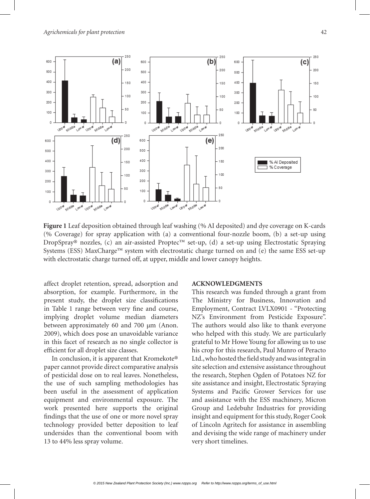

**Figure 1** Leaf deposition obtained through leaf washing (% AI deposited) and dye coverage on K-cards (% Coverage) for spray application with (a) a conventional four-nozzle boom, (b) a set-up using DropSpray® nozzles, (c) an air-assisted Proptec™ set-up, (d) a set-up using Electrostatic Spraying Systems (ESS) MaxCharge™ system with electrostatic charge turned on and (e) the same ESS set-up with electrostatic charge turned off, at upper, middle and lower canopy heights.

affect droplet retention, spread, adsorption and absorption, for example. Furthermore, in the present study, the droplet size classifications in Table 1 range between very fine and course, implying droplet volume median diameters between approximately 60 and 700 µm (Anon. 2009), which does pose an unavoidable variance in this facet of research as no single collector is efficient for all droplet size classes.

In conclusion, it is apparent that Kromekote® paper cannot provide direct comparative analysis of pesticidal dose on to real leaves. Nonetheless, the use of such sampling methodologies has been useful in the assessment of application equipment and environmental exposure. The work presented here supports the original findings that the use of one or more novel spray technology provided better deposition to leaf undersides than the conventional boom with 13 to 44% less spray volume.

#### **ACKNOWLEDGMENTS**

This research was funded through a grant from The Ministry for Business, Innovation and Employment, Contract LVLX0901 - "Protecting NZ's Environment from Pesticide Exposure". The authors would also like to thank everyone who helped with this study. We are particularly grateful to Mr Howe Young for allowing us to use his crop for this research, Paul Munro of Peracto Ltd., who hosted the field study and was integral in site selection and extensive assistance throughout the research, Stephen Ogden of Potatoes NZ for site assistance and insight, Electrostatic Spraying Systems and Pacific Grower Services for use and assistance with the ESS machinery, Micron Group and Ledebuhr Industries for providing insight and equipment for this study, Roger Cook of Lincoln Agritech for assistance in assembling and devising the wide range of machinery under very short timelines.